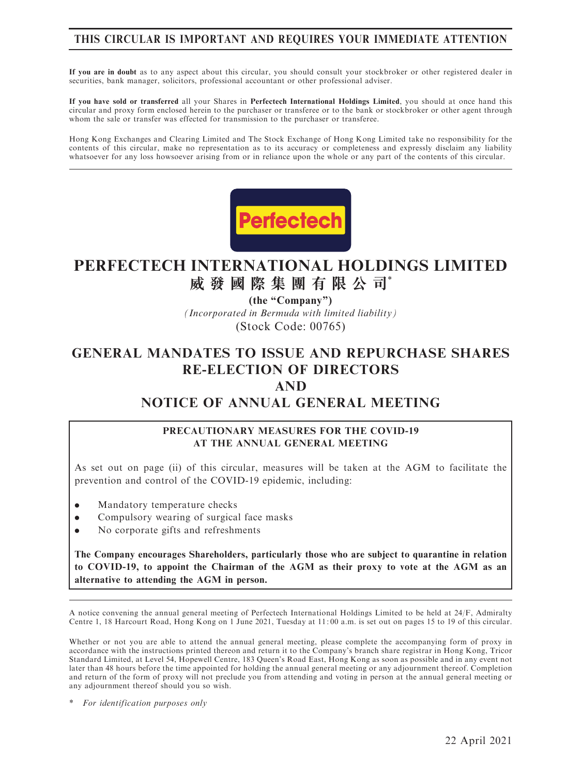# THIS CIRCULAR IS IMPORTANT AND REQUIRES YOUR IMMEDIATE ATTENTION

If you are in doubt as to any aspect about this circular, you should consult your stockbroker or other registered dealer in securities, bank manager, solicitors, professional accountant or other professional adviser.

If you have sold or transferred all your Shares in Perfectech International Holdings Limited, you should at once hand this circular and proxy form enclosed herein to the purchaser or transferee or to the bank or stockbroker or other agent through whom the sale or transfer was effected for transmission to the purchaser or transferee.

Hong Kong Exchanges and Clearing Limited and The Stock Exchange of Hong Kong Limited take no responsibility for the contents of this circular, make no representation as to its accuracy or completeness and expressly disclaim any liability whatsoever for any loss howsoever arising from or in reliance upon the whole or any part of the contents of this circular.



# **PERFECTECH INTERNATIONAL HOLDINGS LIMITED 威發國際集團有限公司**\*

*(Incorporated in Bermuda with limited liability)* (Stock Code: 00765) **(the "Company")**

# GENERAL MANDATES TO ISSUE AND REPURCHASE SHARES RE-ELECTION OF DIRECTORS

## AND

# NOTICE OF ANNUAL GENERAL MEETING

#### PRECAUTIONARY MEASURES FOR THE COVID-19 AT THE ANNUAL GENERAL MEETING

As set out on page (ii) of this circular, measures will be taken at the AGM to facilitate the prevention and control of the COVID-19 epidemic, including:

- . Mandatory temperature checks
- . Compulsory wearing of surgical face masks
- . No corporate gifts and refreshments

The Company encourages Shareholders, particularly those who are subject to quarantine in relation to COVID-19, to appoint the Chairman of the AGM as their proxy to vote at the AGM as an alternative to attending the AGM in person.

A notice convening the annual general meeting of Perfectech International Holdings Limited to be held at 24/F, Admiralty Centre 1, 18 Harcourt Road, Hong Kong on 1 June 2021, Tuesday at 11: 00 a.m. is set out on pages 15 to 19 of this circular.

Whether or not you are able to attend the annual general meeting, please complete the accompanying form of proxy in accordance with the instructions printed thereon and return it to the Company's branch share registrar in Hong Kong, Tricor Standard Limited, at Level 54, Hopewell Centre, 183 Queen's Road East, Hong Kong as soon as possible and in any event not later than 48 hours before the time appointed for holding the annual general meeting or any adjournment thereof. Completion and return of the form of proxy will not preclude you from attending and voting in person at the annual general meeting or any adjournment thereof should you so wish.

For identification purposes only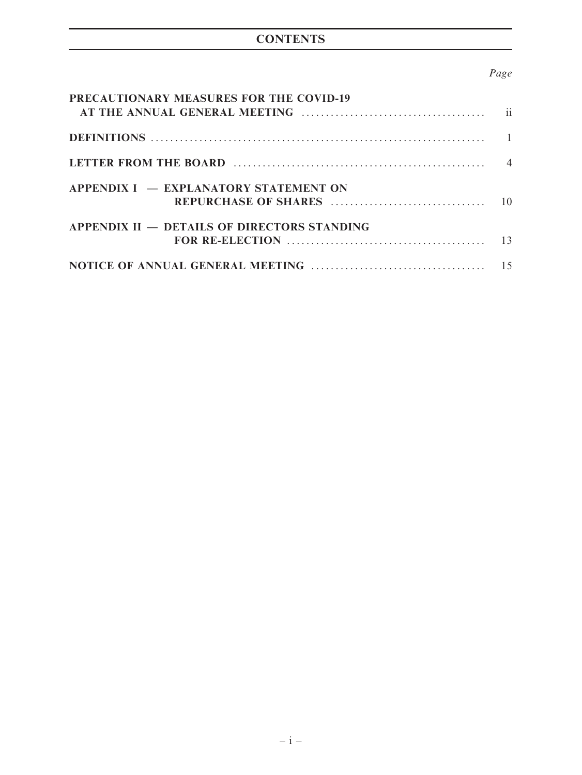# **CONTENTS**

# Page

| PRECAUTIONARY MEASURES FOR THE COVID-19            |  |
|----------------------------------------------------|--|
|                                                    |  |
|                                                    |  |
| APPENDIX I – EXPLANATORY STATEMENT ON              |  |
| <b>APPENDIX II – DETAILS OF DIRECTORS STANDING</b> |  |
|                                                    |  |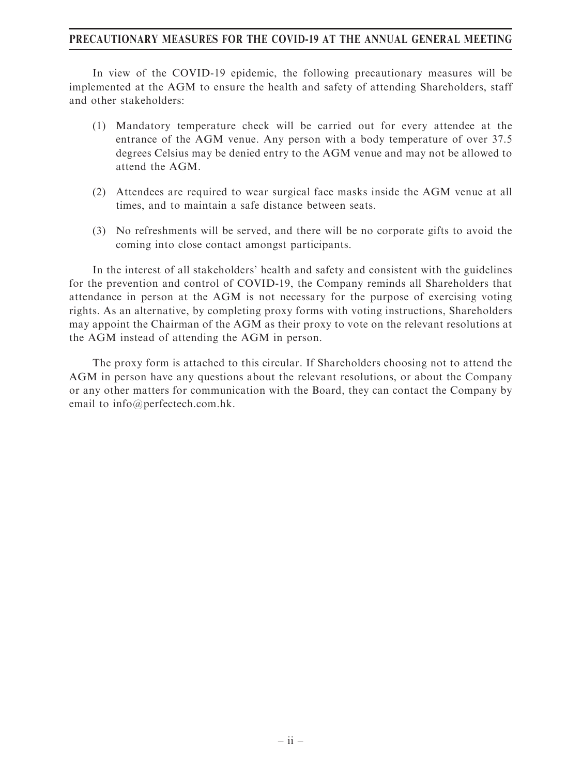#### PRECAUTIONARY MEASURES FOR THE COVID-19 AT THE ANNUAL GENERAL MEETING

In view of the COVID-19 epidemic, the following precautionary measures will be implemented at the AGM to ensure the health and safety of attending Shareholders, staff and other stakeholders:

- (1) Mandatory temperature check will be carried out for every attendee at the entrance of the AGM venue. Any person with a body temperature of over 37.5 degrees Celsius may be denied entry to the AGM venue and may not be allowed to attend the AGM.
- (2) Attendees are required to wear surgical face masks inside the AGM venue at all times, and to maintain a safe distance between seats.
- (3) No refreshments will be served, and there will be no corporate gifts to avoid the coming into close contact amongst participants.

In the interest of all stakeholders' health and safety and consistent with the guidelines for the prevention and control of COVID-19, the Company reminds all Shareholders that attendance in person at the AGM is not necessary for the purpose of exercising voting rights. As an alternative, by completing proxy forms with voting instructions, Shareholders may appoint the Chairman of the AGM as their proxy to vote on the relevant resolutions at the AGM instead of attending the AGM in person.

The proxy form is attached to this circular. If Shareholders choosing not to attend the AGM in person have any questions about the relevant resolutions, or about the Company or any other matters for communication with the Board, they can contact the Company by email to info@perfectech.com.hk.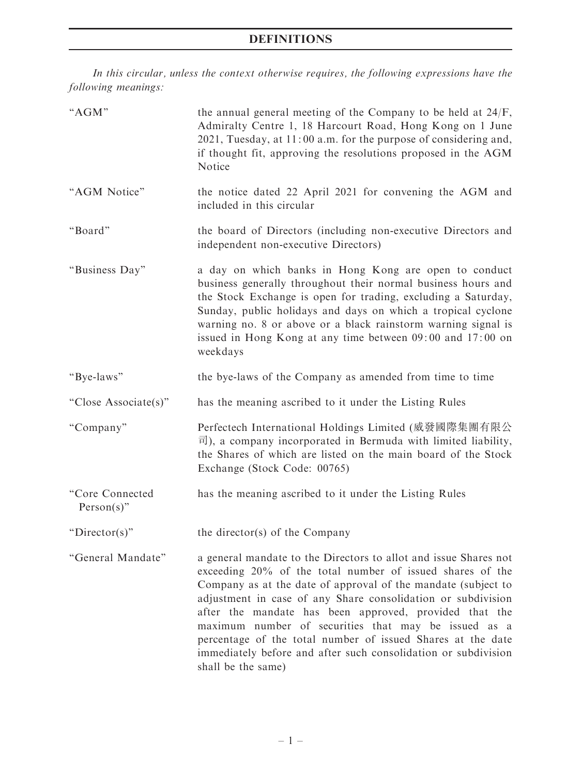# DEFINITIONS

In this circular, unless the context otherwise requires, the following expressions have the following meanings:

| "AGM"                         | the annual general meeting of the Company to be held at $24/F$ ,<br>Admiralty Centre 1, 18 Harcourt Road, Hong Kong on 1 June<br>2021, Tuesday, at 11:00 a.m. for the purpose of considering and,<br>if thought fit, approving the resolutions proposed in the AGM<br>Notice                                                                                                                                                                                                                                                            |
|-------------------------------|-----------------------------------------------------------------------------------------------------------------------------------------------------------------------------------------------------------------------------------------------------------------------------------------------------------------------------------------------------------------------------------------------------------------------------------------------------------------------------------------------------------------------------------------|
| "AGM Notice"                  | the notice dated 22 April 2021 for convening the AGM and<br>included in this circular                                                                                                                                                                                                                                                                                                                                                                                                                                                   |
| "Board"                       | the board of Directors (including non-executive Directors and<br>independent non-executive Directors)                                                                                                                                                                                                                                                                                                                                                                                                                                   |
| "Business Day"                | a day on which banks in Hong Kong are open to conduct<br>business generally throughout their normal business hours and<br>the Stock Exchange is open for trading, excluding a Saturday,<br>Sunday, public holidays and days on which a tropical cyclone<br>warning no. 8 or above or a black rainstorm warning signal is<br>issued in Hong Kong at any time between 09:00 and 17:00 on<br>weekdays                                                                                                                                      |
| "Bye-laws"                    | the bye-laws of the Company as amended from time to time                                                                                                                                                                                                                                                                                                                                                                                                                                                                                |
| "Close Associate(s)"          | has the meaning ascribed to it under the Listing Rules                                                                                                                                                                                                                                                                                                                                                                                                                                                                                  |
| "Company"                     | Perfectech International Holdings Limited (威發國際集團有限公<br>$\overline{\mathbb{E}}$ ), a company incorporated in Bermuda with limited liability,<br>the Shares of which are listed on the main board of the Stock<br>Exchange (Stock Code: 00765)                                                                                                                                                                                                                                                                                           |
| "Core Connected<br>Person(s)" | has the meaning ascribed to it under the Listing Rules                                                                                                                                                                                                                                                                                                                                                                                                                                                                                  |
| " $Director(s)$ "             | the director(s) of the Company                                                                                                                                                                                                                                                                                                                                                                                                                                                                                                          |
| "General Mandate"             | a general mandate to the Directors to allot and issue Shares not<br>exceeding 20% of the total number of issued shares of the<br>Company as at the date of approval of the mandate (subject to<br>adjustment in case of any Share consolidation or subdivision<br>after the mandate has been approved, provided that the<br>maximum number of securities that may be issued as a<br>percentage of the total number of issued Shares at the date<br>immediately before and after such consolidation or subdivision<br>shall be the same) |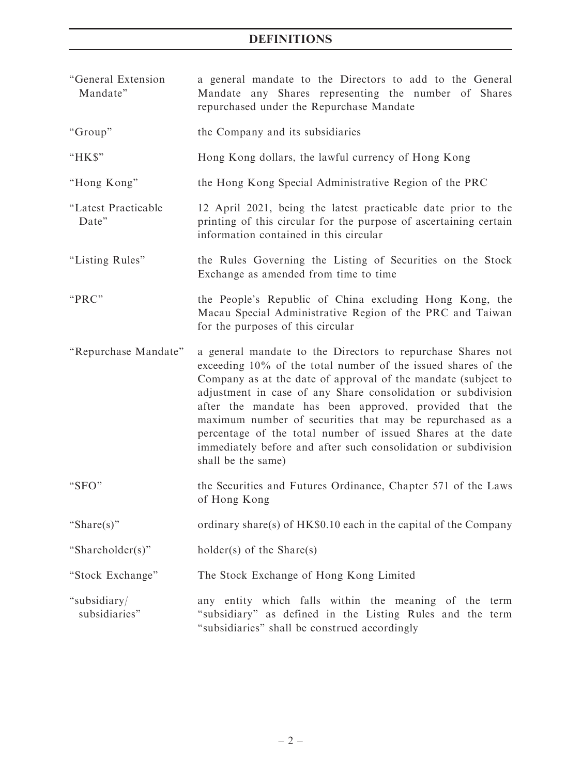# DEFINITIONS

| "General Extension<br>Mandate" | a general mandate to the Directors to add to the General<br>Mandate any Shares representing the number of Shares<br>repurchased under the Repurchase Mandate                                                                                                                                                                                                                                                                                                                                                                                |  |  |  |  |
|--------------------------------|---------------------------------------------------------------------------------------------------------------------------------------------------------------------------------------------------------------------------------------------------------------------------------------------------------------------------------------------------------------------------------------------------------------------------------------------------------------------------------------------------------------------------------------------|--|--|--|--|
| "Group"                        | the Company and its subsidiaries                                                                                                                                                                                                                                                                                                                                                                                                                                                                                                            |  |  |  |  |
| "HK\$"                         | Hong Kong dollars, the lawful currency of Hong Kong                                                                                                                                                                                                                                                                                                                                                                                                                                                                                         |  |  |  |  |
| "Hong Kong"                    | the Hong Kong Special Administrative Region of the PRC                                                                                                                                                                                                                                                                                                                                                                                                                                                                                      |  |  |  |  |
| "Latest Practicable<br>Date"   | 12 April 2021, being the latest practicable date prior to the<br>printing of this circular for the purpose of ascertaining certain<br>information contained in this circular                                                                                                                                                                                                                                                                                                                                                                |  |  |  |  |
| "Listing Rules"                | the Rules Governing the Listing of Securities on the Stock<br>Exchange as amended from time to time                                                                                                                                                                                                                                                                                                                                                                                                                                         |  |  |  |  |
| "PRC"                          | the People's Republic of China excluding Hong Kong, the<br>Macau Special Administrative Region of the PRC and Taiwan<br>for the purposes of this circular                                                                                                                                                                                                                                                                                                                                                                                   |  |  |  |  |
| "Repurchase Mandate"           | a general mandate to the Directors to repurchase Shares not<br>exceeding 10% of the total number of the issued shares of the<br>Company as at the date of approval of the mandate (subject to<br>adjustment in case of any Share consolidation or subdivision<br>after the mandate has been approved, provided that the<br>maximum number of securities that may be repurchased as a<br>percentage of the total number of issued Shares at the date<br>immediately before and after such consolidation or subdivision<br>shall be the same) |  |  |  |  |
| "SFO"                          | the Securities and Futures Ordinance, Chapter 571 of the Laws<br>of Hong Kong                                                                                                                                                                                                                                                                                                                                                                                                                                                               |  |  |  |  |
| "Share(s)"                     | ordinary share(s) of $HK\$0.10$ each in the capital of the Company                                                                                                                                                                                                                                                                                                                                                                                                                                                                          |  |  |  |  |
| "Shareholder(s)"               | $holder(s)$ of the Share(s)                                                                                                                                                                                                                                                                                                                                                                                                                                                                                                                 |  |  |  |  |
| "Stock Exchange"               | The Stock Exchange of Hong Kong Limited                                                                                                                                                                                                                                                                                                                                                                                                                                                                                                     |  |  |  |  |
| "subsidiary/<br>subsidiaries"  | any entity which falls within the meaning of the term<br>"subsidiary" as defined in the Listing Rules and the term<br>"subsidiaries" shall be construed accordingly                                                                                                                                                                                                                                                                                                                                                                         |  |  |  |  |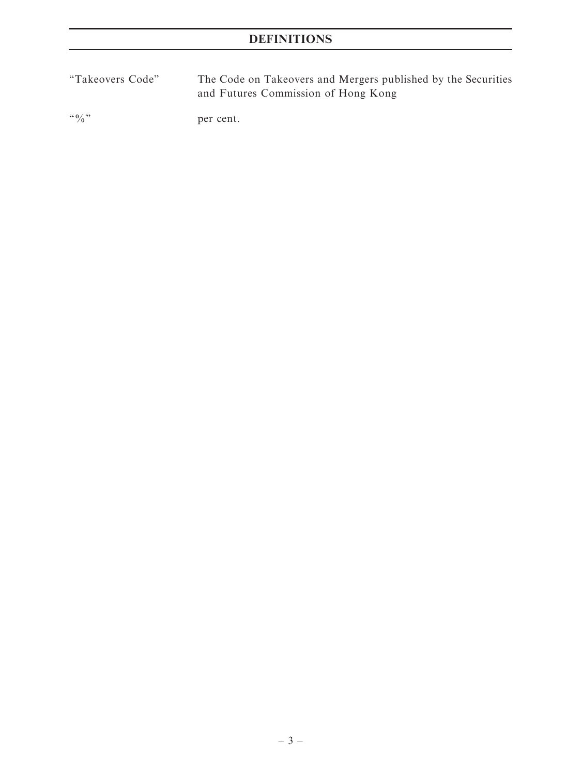''Takeovers Code'' The Code on Takeovers and Mergers published by the Securities and Futures Commission of Hong Kong

"%" per cent.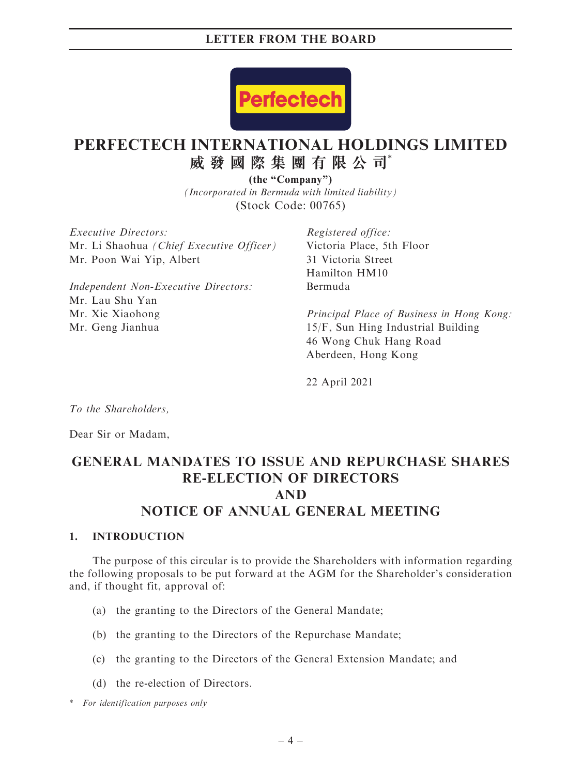

# **PERFECTECH INTERNATIONAL HOLDINGS LIMITED 威發國際集團有限公司**\*

*(Incorporated in Bermuda with limited liability)* (Stock Code: 00765) **(the "Company")**

Executive Directors: Mr. Li Shaohua (Chief Executive Officer) Mr. Poon Wai Yip, Albert

Independent Non-Executive Directors: Mr. Lau Shu Yan Mr. Xie Xiaohong Mr. Geng Jianhua

Registered office: Victoria Place, 5th Floor 31 Victoria Street Hamilton HM10 Bermuda

Principal Place of Business in Hong Kong: 15/F, Sun Hing Industrial Building 46 Wong Chuk Hang Road Aberdeen, Hong Kong

22 April 2021

To the Shareholders,

Dear Sir or Madam,

# GENERAL MANDATES TO ISSUE AND REPURCHASE SHARES RE-ELECTION OF DIRECTORS AND NOTICE OF ANNUAL GENERAL MEETING

#### 1. INTRODUCTION

The purpose of this circular is to provide the Shareholders with information regarding the following proposals to be put forward at the AGM for the Shareholder's consideration and, if thought fit, approval of:

- (a) the granting to the Directors of the General Mandate;
- (b) the granting to the Directors of the Repurchase Mandate;
- (c) the granting to the Directors of the General Extension Mandate; and
- (d) the re-election of Directors.

\* For identification purposes only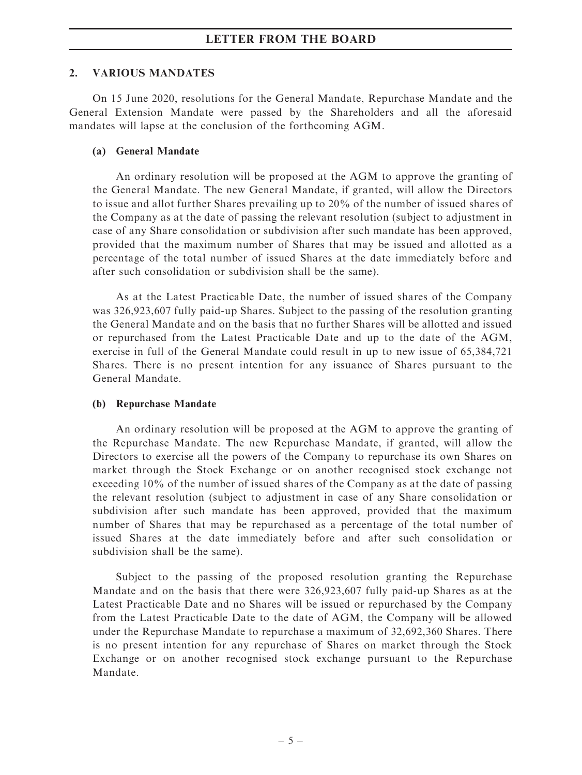#### 2. VARIOUS MANDATES

On 15 June 2020, resolutions for the General Mandate, Repurchase Mandate and the General Extension Mandate were passed by the Shareholders and all the aforesaid mandates will lapse at the conclusion of the forthcoming AGM.

#### (a) General Mandate

An ordinary resolution will be proposed at the AGM to approve the granting of the General Mandate. The new General Mandate, if granted, will allow the Directors to issue and allot further Shares prevailing up to 20% of the number of issued shares of the Company as at the date of passing the relevant resolution (subject to adjustment in case of any Share consolidation or subdivision after such mandate has been approved, provided that the maximum number of Shares that may be issued and allotted as a percentage of the total number of issued Shares at the date immediately before and after such consolidation or subdivision shall be the same).

As at the Latest Practicable Date, the number of issued shares of the Company was 326,923,607 fully paid-up Shares. Subject to the passing of the resolution granting the General Mandate and on the basis that no further Shares will be allotted and issued or repurchased from the Latest Practicable Date and up to the date of the AGM, exercise in full of the General Mandate could result in up to new issue of 65,384,721 Shares. There is no present intention for any issuance of Shares pursuant to the General Mandate.

#### (b) Repurchase Mandate

An ordinary resolution will be proposed at the AGM to approve the granting of the Repurchase Mandate. The new Repurchase Mandate, if granted, will allow the Directors to exercise all the powers of the Company to repurchase its own Shares on market through the Stock Exchange or on another recognised stock exchange not exceeding 10% of the number of issued shares of the Company as at the date of passing the relevant resolution (subject to adjustment in case of any Share consolidation or subdivision after such mandate has been approved, provided that the maximum number of Shares that may be repurchased as a percentage of the total number of issued Shares at the date immediately before and after such consolidation or subdivision shall be the same).

Subject to the passing of the proposed resolution granting the Repurchase Mandate and on the basis that there were 326,923,607 fully paid-up Shares as at the Latest Practicable Date and no Shares will be issued or repurchased by the Company from the Latest Practicable Date to the date of AGM, the Company will be allowed under the Repurchase Mandate to repurchase a maximum of 32,692,360 Shares. There is no present intention for any repurchase of Shares on market through the Stock Exchange or on another recognised stock exchange pursuant to the Repurchase Mandate.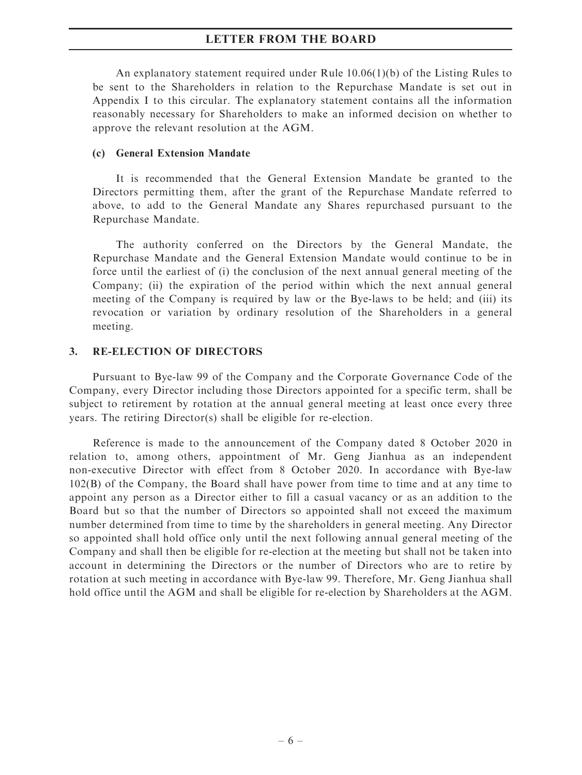An explanatory statement required under Rule 10.06(1)(b) of the Listing Rules to be sent to the Shareholders in relation to the Repurchase Mandate is set out in Appendix I to this circular. The explanatory statement contains all the information reasonably necessary for Shareholders to make an informed decision on whether to approve the relevant resolution at the AGM.

#### (c) General Extension Mandate

It is recommended that the General Extension Mandate be granted to the Directors permitting them, after the grant of the Repurchase Mandate referred to above, to add to the General Mandate any Shares repurchased pursuant to the Repurchase Mandate.

The authority conferred on the Directors by the General Mandate, the Repurchase Mandate and the General Extension Mandate would continue to be in force until the earliest of (i) the conclusion of the next annual general meeting of the Company; (ii) the expiration of the period within which the next annual general meeting of the Company is required by law or the Bye-laws to be held; and (iii) its revocation or variation by ordinary resolution of the Shareholders in a general meeting.

#### 3. RE-ELECTION OF DIRECTORS

Pursuant to Bye-law 99 of the Company and the Corporate Governance Code of the Company, every Director including those Directors appointed for a specific term, shall be subject to retirement by rotation at the annual general meeting at least once every three years. The retiring Director(s) shall be eligible for re-election.

Reference is made to the announcement of the Company dated 8 October 2020 in relation to, among others, appointment of Mr. Geng Jianhua as an independent non-executive Director with effect from 8 October 2020. In accordance with Bye-law 102(B) of the Company, the Board shall have power from time to time and at any time to appoint any person as a Director either to fill a casual vacancy or as an addition to the Board but so that the number of Directors so appointed shall not exceed the maximum number determined from time to time by the shareholders in general meeting. Any Director so appointed shall hold office only until the next following annual general meeting of the Company and shall then be eligible for re-election at the meeting but shall not be taken into account in determining the Directors or the number of Directors who are to retire by rotation at such meeting in accordance with Bye-law 99. Therefore, Mr. Geng Jianhua shall hold office until the AGM and shall be eligible for re-election by Shareholders at the AGM.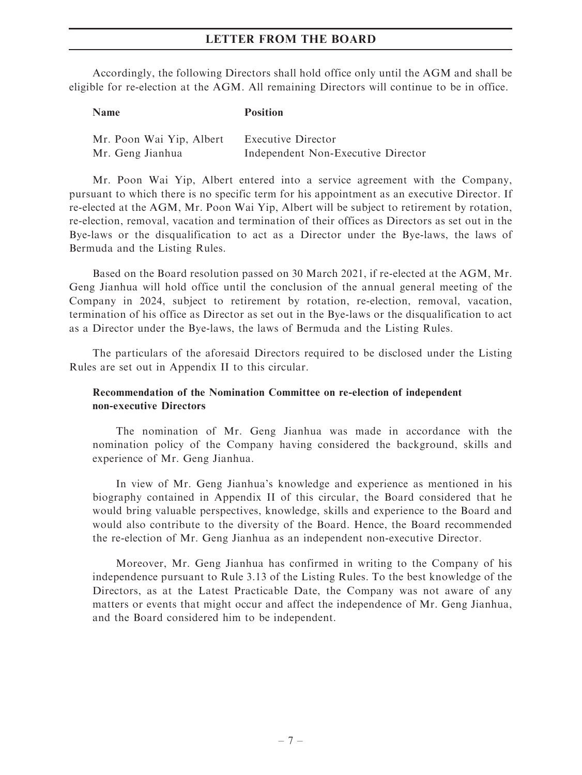Accordingly, the following Directors shall hold office only until the AGM and shall be eligible for re-election at the AGM. All remaining Directors will continue to be in office.

# Name Position Mr. Poon Wai Yip, Albert Executive Director Mr. Geng Jianhua Independent Non-Executive Director

Mr. Poon Wai Yip, Albert entered into a service agreement with the Company, pursuant to which there is no specific term for his appointment as an executive Director. If re-elected at the AGM, Mr. Poon Wai Yip, Albert will be subject to retirement by rotation, re-election, removal, vacation and termination of their offices as Directors as set out in the Bye-laws or the disqualification to act as a Director under the Bye-laws, the laws of Bermuda and the Listing Rules.

Based on the Board resolution passed on 30 March 2021, if re-elected at the AGM, Mr. Geng Jianhua will hold office until the conclusion of the annual general meeting of the Company in 2024, subject to retirement by rotation, re-election, removal, vacation, termination of his office as Director as set out in the Bye-laws or the disqualification to act as a Director under the Bye-laws, the laws of Bermuda and the Listing Rules.

The particulars of the aforesaid Directors required to be disclosed under the Listing Rules are set out in Appendix II to this circular.

#### Recommendation of the Nomination Committee on re-election of independent non-executive Directors

The nomination of Mr. Geng Jianhua was made in accordance with the nomination policy of the Company having considered the background, skills and experience of Mr. Geng Jianhua.

In view of Mr. Geng Jianhua's knowledge and experience as mentioned in his biography contained in Appendix II of this circular, the Board considered that he would bring valuable perspectives, knowledge, skills and experience to the Board and would also contribute to the diversity of the Board. Hence, the Board recommended the re-election of Mr. Geng Jianhua as an independent non-executive Director.

Moreover, Mr. Geng Jianhua has confirmed in writing to the Company of his independence pursuant to Rule 3.13 of the Listing Rules. To the best knowledge of the Directors, as at the Latest Practicable Date, the Company was not aware of any matters or events that might occur and affect the independence of Mr. Geng Jianhua, and the Board considered him to be independent.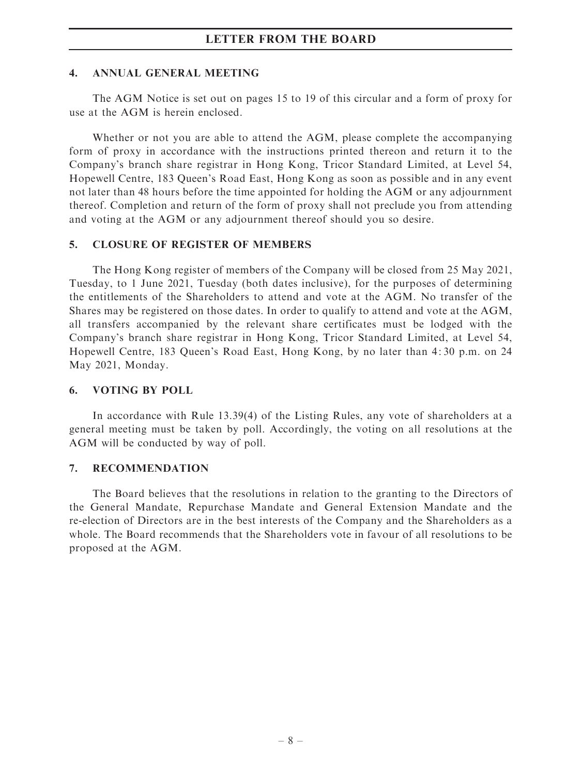#### 4. ANNUAL GENERAL MEETING

The AGM Notice is set out on pages 15 to 19 of this circular and a form of proxy for use at the AGM is herein enclosed.

Whether or not you are able to attend the AGM, please complete the accompanying form of proxy in accordance with the instructions printed thereon and return it to the Company's branch share registrar in Hong Kong, Tricor Standard Limited, at Level 54, Hopewell Centre, 183 Queen's Road East, Hong Kong as soon as possible and in any event not later than 48 hours before the time appointed for holding the AGM or any adjournment thereof. Completion and return of the form of proxy shall not preclude you from attending and voting at the AGM or any adjournment thereof should you so desire.

#### 5. CLOSURE OF REGISTER OF MEMBERS

The Hong Kong register of members of the Company will be closed from 25 May 2021, Tuesday, to 1 June 2021, Tuesday (both dates inclusive), for the purposes of determining the entitlements of the Shareholders to attend and vote at the AGM. No transfer of the Shares may be registered on those dates. In order to qualify to attend and vote at the AGM, all transfers accompanied by the relevant share certificates must be lodged with the Company's branch share registrar in Hong Kong, Tricor Standard Limited, at Level 54, Hopewell Centre, 183 Queen's Road East, Hong Kong, by no later than 4: 30 p.m. on 24 May 2021, Monday.

#### 6. VOTING BY POLL

In accordance with Rule 13.39(4) of the Listing Rules, any vote of shareholders at a general meeting must be taken by poll. Accordingly, the voting on all resolutions at the AGM will be conducted by way of poll.

#### 7. RECOMMENDATION

The Board believes that the resolutions in relation to the granting to the Directors of the General Mandate, Repurchase Mandate and General Extension Mandate and the re-election of Directors are in the best interests of the Company and the Shareholders as a whole. The Board recommends that the Shareholders vote in favour of all resolutions to be proposed at the AGM.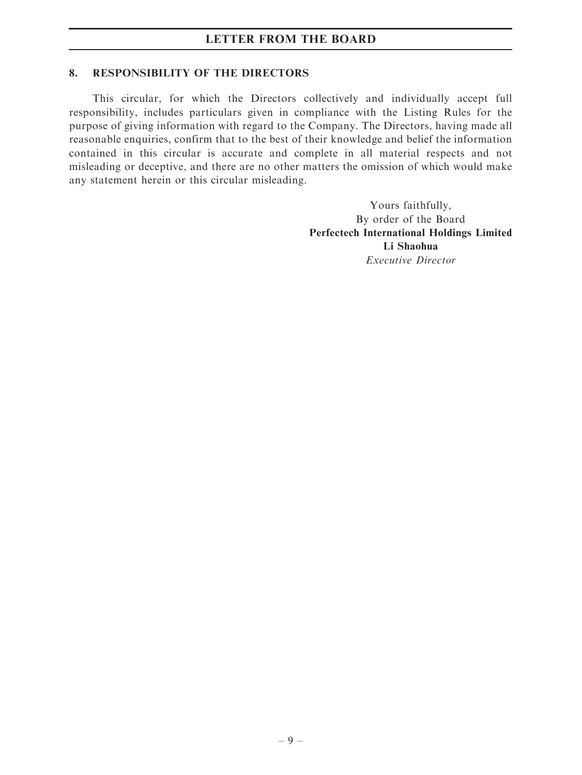#### 8. RESPONSIBILITY OF THE DIRECTORS

This circular, for which the Directors collectively and individually accept full responsibility, includes particulars given in compliance with the Listing Rules for the purpose of giving information with regard to the Company. The Directors, having made all reasonable enquiries, confirm that to the best of their knowledge and belief the information contained in this circular is accurate and complete in all material respects and not misleading or deceptive, and there are no other matters the omission of which would make any statement herein or this circular misleading.

> Yours faithfully, By order of the Board Perfectech International Holdings Limited Li Shaohua Executive Director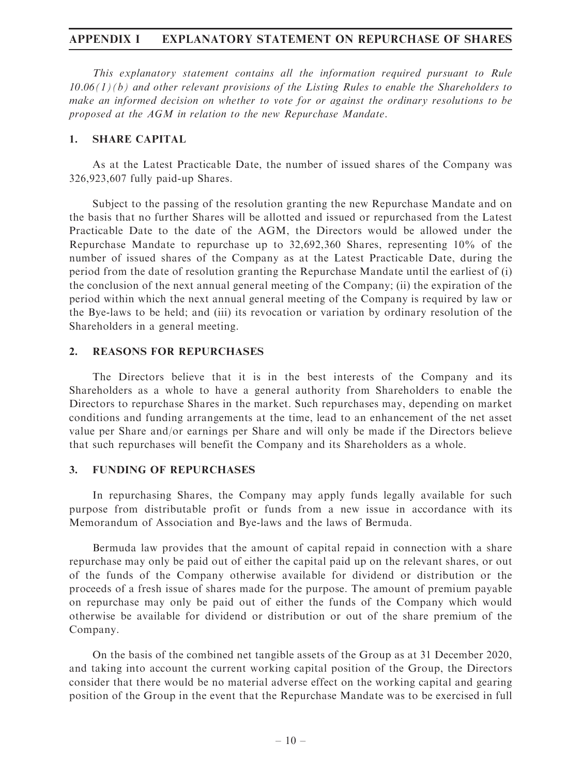#### APPENDIX I EXPLANATORY STATEMENT ON REPURCHASE OF SHARES

This explanatory statement contains all the information required pursuant to Rule  $10.06(1)(b)$  and other relevant provisions of the Listing Rules to enable the Shareholders to make an informed decision on whether to vote for or against the ordinary resolutions to be proposed at the AGM in relation to the new Repurchase Mandate.

#### 1. SHARE CAPITAL

As at the Latest Practicable Date, the number of issued shares of the Company was 326,923,607 fully paid-up Shares.

Subject to the passing of the resolution granting the new Repurchase Mandate and on the basis that no further Shares will be allotted and issued or repurchased from the Latest Practicable Date to the date of the AGM, the Directors would be allowed under the Repurchase Mandate to repurchase up to 32,692,360 Shares, representing 10% of the number of issued shares of the Company as at the Latest Practicable Date, during the period from the date of resolution granting the Repurchase Mandate until the earliest of (i) the conclusion of the next annual general meeting of the Company; (ii) the expiration of the period within which the next annual general meeting of the Company is required by law or the Bye-laws to be held; and (iii) its revocation or variation by ordinary resolution of the Shareholders in a general meeting.

#### 2. REASONS FOR REPURCHASES

The Directors believe that it is in the best interests of the Company and its Shareholders as a whole to have a general authority from Shareholders to enable the Directors to repurchase Shares in the market. Such repurchases may, depending on market conditions and funding arrangements at the time, lead to an enhancement of the net asset value per Share and/or earnings per Share and will only be made if the Directors believe that such repurchases will benefit the Company and its Shareholders as a whole.

#### 3. FUNDING OF REPURCHASES

In repurchasing Shares, the Company may apply funds legally available for such purpose from distributable profit or funds from a new issue in accordance with its Memorandum of Association and Bye-laws and the laws of Bermuda.

Bermuda law provides that the amount of capital repaid in connection with a share repurchase may only be paid out of either the capital paid up on the relevant shares, or out of the funds of the Company otherwise available for dividend or distribution or the proceeds of a fresh issue of shares made for the purpose. The amount of premium payable on repurchase may only be paid out of either the funds of the Company which would otherwise be available for dividend or distribution or out of the share premium of the Company.

On the basis of the combined net tangible assets of the Group as at 31 December 2020, and taking into account the current working capital position of the Group, the Directors consider that there would be no material adverse effect on the working capital and gearing position of the Group in the event that the Repurchase Mandate was to be exercised in full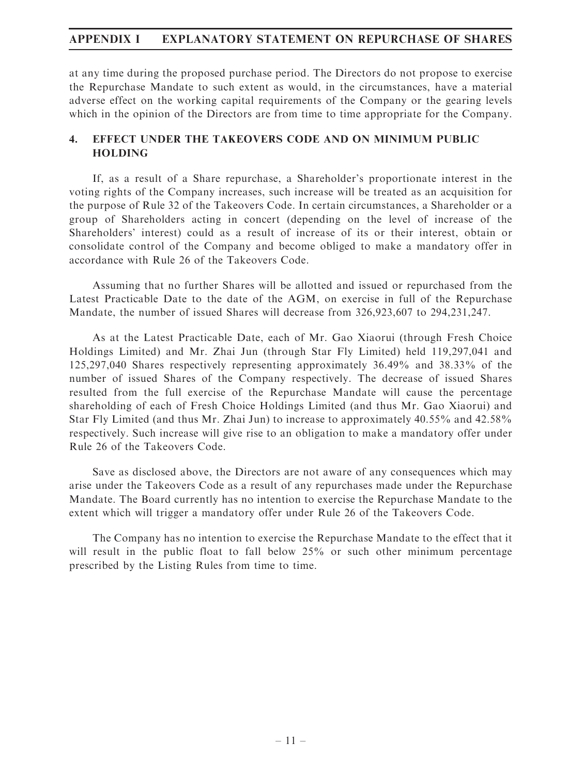## APPENDIX I EXPLANATORY STATEMENT ON REPURCHASE OF SHARES

at any time during the proposed purchase period. The Directors do not propose to exercise the Repurchase Mandate to such extent as would, in the circumstances, have a material adverse effect on the working capital requirements of the Company or the gearing levels which in the opinion of the Directors are from time to time appropriate for the Company.

## 4. EFFECT UNDER THE TAKEOVERS CODE AND ON MINIMUM PUBLIC HOLDING

If, as a result of a Share repurchase, a Shareholder's proportionate interest in the voting rights of the Company increases, such increase will be treated as an acquisition for the purpose of Rule 32 of the Takeovers Code. In certain circumstances, a Shareholder or a group of Shareholders acting in concert (depending on the level of increase of the Shareholders' interest) could as a result of increase of its or their interest, obtain or consolidate control of the Company and become obliged to make a mandatory offer in accordance with Rule 26 of the Takeovers Code.

Assuming that no further Shares will be allotted and issued or repurchased from the Latest Practicable Date to the date of the AGM, on exercise in full of the Repurchase Mandate, the number of issued Shares will decrease from 326,923,607 to 294,231,247.

As at the Latest Practicable Date, each of Mr. Gao Xiaorui (through Fresh Choice Holdings Limited) and Mr. Zhai Jun (through Star Fly Limited) held 119,297,041 and 125,297,040 Shares respectively representing approximately 36.49% and 38.33% of the number of issued Shares of the Company respectively. The decrease of issued Shares resulted from the full exercise of the Repurchase Mandate will cause the percentage shareholding of each of Fresh Choice Holdings Limited (and thus Mr. Gao Xiaorui) and Star Fly Limited (and thus Mr. Zhai Jun) to increase to approximately 40.55% and 42.58% respectively. Such increase will give rise to an obligation to make a mandatory offer under Rule 26 of the Takeovers Code.

Save as disclosed above, the Directors are not aware of any consequences which may arise under the Takeovers Code as a result of any repurchases made under the Repurchase Mandate. The Board currently has no intention to exercise the Repurchase Mandate to the extent which will trigger a mandatory offer under Rule 26 of the Takeovers Code.

The Company has no intention to exercise the Repurchase Mandate to the effect that it will result in the public float to fall below 25% or such other minimum percentage prescribed by the Listing Rules from time to time.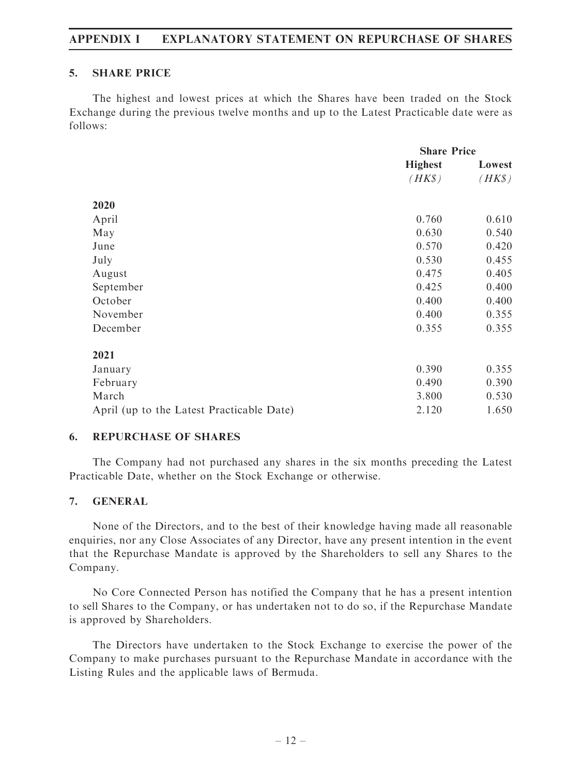## APPENDIX I EXPLANATORY STATEMENT ON REPURCHASE OF SHARES

#### 5. SHARE PRICE

The highest and lowest prices at which the Shares have been traded on the Stock Exchange during the previous twelve months and up to the Latest Practicable date were as follows:

|                                           | <b>Share Price</b> |        |  |
|-------------------------------------------|--------------------|--------|--|
|                                           | <b>Highest</b>     | Lowest |  |
|                                           | $(HK\$             | $(HK\$ |  |
| 2020                                      |                    |        |  |
| April                                     | 0.760              | 0.610  |  |
| May                                       | 0.630              | 0.540  |  |
| June                                      | 0.570              | 0.420  |  |
|                                           | 0.530              | 0.455  |  |
| July                                      |                    |        |  |
| August                                    | 0.475              | 0.405  |  |
| September                                 | 0.425              | 0.400  |  |
| October                                   | 0.400              | 0.400  |  |
| November                                  | 0.400              | 0.355  |  |
| December                                  | 0.355              | 0.355  |  |
| 2021                                      |                    |        |  |
| January                                   | 0.390              | 0.355  |  |
| February                                  | 0.490              | 0.390  |  |
| March                                     | 3.800              | 0.530  |  |
| April (up to the Latest Practicable Date) | 2.120              | 1.650  |  |

#### 6. REPURCHASE OF SHARES

The Company had not purchased any shares in the six months preceding the Latest Practicable Date, whether on the Stock Exchange or otherwise.

#### 7. GENERAL

None of the Directors, and to the best of their knowledge having made all reasonable enquiries, nor any Close Associates of any Director, have any present intention in the event that the Repurchase Mandate is approved by the Shareholders to sell any Shares to the Company.

No Core Connected Person has notified the Company that he has a present intention to sell Shares to the Company, or has undertaken not to do so, if the Repurchase Mandate is approved by Shareholders.

The Directors have undertaken to the Stock Exchange to exercise the power of the Company to make purchases pursuant to the Repurchase Mandate in accordance with the Listing Rules and the applicable laws of Bermuda.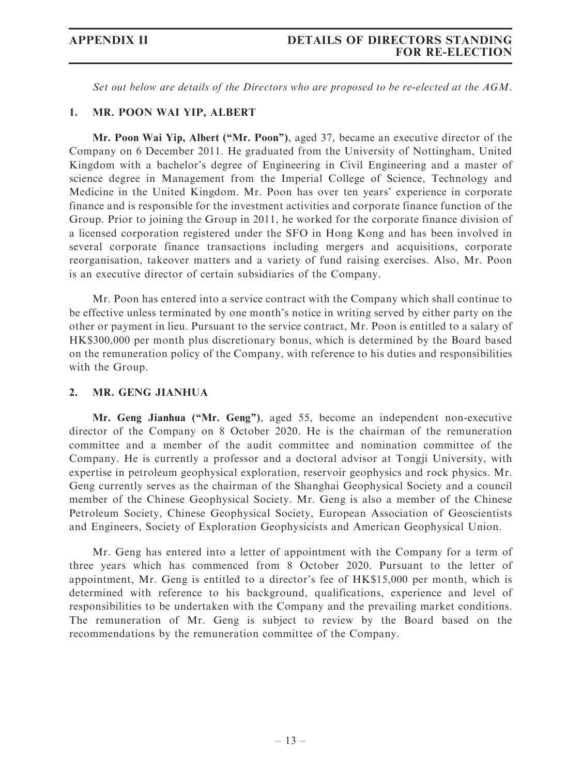Set out below are details of the Directors who are proposed to be re-elected at the AGM.

#### 1. MR. POON WAI YIP, ALBERT

Mr. Poon Wai Yip, Albert ("Mr. Poon"), aged 37, became an executive director of the Company on 6 December 2011. He graduated from the University of Nottingham, United Kingdom with a bachelor's degree of Engineering in Civil Engineering and a master of science degree in Management from the Imperial College of Science, Technology and Medicine in the United Kingdom. Mr. Poon has over ten years' experience in corporate finance and is responsible for the investment activities and corporate finance function of the Group. Prior to joining the Group in 2011, he worked for the corporate finance division of a licensed corporation registered under the SFO in Hong Kong and has been involved in several corporate finance transactions including mergers and acquisitions, corporate reorganisation, takeover matters and a variety of fund raising exercises. Also, Mr. Poon is an executive director of certain subsidiaries of the Company.

Mr. Poon has entered into a service contract with the Company which shall continue to be effective unless terminated by one month's notice in writing served by either party on the other or payment in lieu. Pursuant to the service contract, Mr. Poon is entitled to a salary of HK\$300,000 per month plus discretionary bonus, which is determined by the Board based on the remuneration policy of the Company, with reference to his duties and responsibilities with the Group.

#### 2. MR. GENG JIANHUA

Mr. Geng Jianhua ("Mr. Geng"), aged 55, become an independent non-executive director of the Company on 8 October 2020. He is the chairman of the remuneration committee and a member of the audit committee and nomination committee of the Company. He is currently a professor and a doctoral advisor at Tongji University, with expertise in petroleum geophysical exploration, reservoir geophysics and rock physics. Mr. Geng currently serves as the chairman of the Shanghai Geophysical Society and a council member of the Chinese Geophysical Society. Mr. Geng is also a member of the Chinese Petroleum Society, Chinese Geophysical Society, European Association of Geoscientists and Engineers, Society of Exploration Geophysicists and American Geophysical Union.

Mr. Geng has entered into a letter of appointment with the Company for a term of three years which has commenced from 8 October 2020. Pursuant to the letter of appointment, Mr. Geng is entitled to a director's fee of HK\$15,000 per month, which is determined with reference to his background, qualifications, experience and level of responsibilities to be undertaken with the Company and the prevailing market conditions. The remuneration of Mr. Geng is subject to review by the Board based on the recommendations by the remuneration committee of the Company.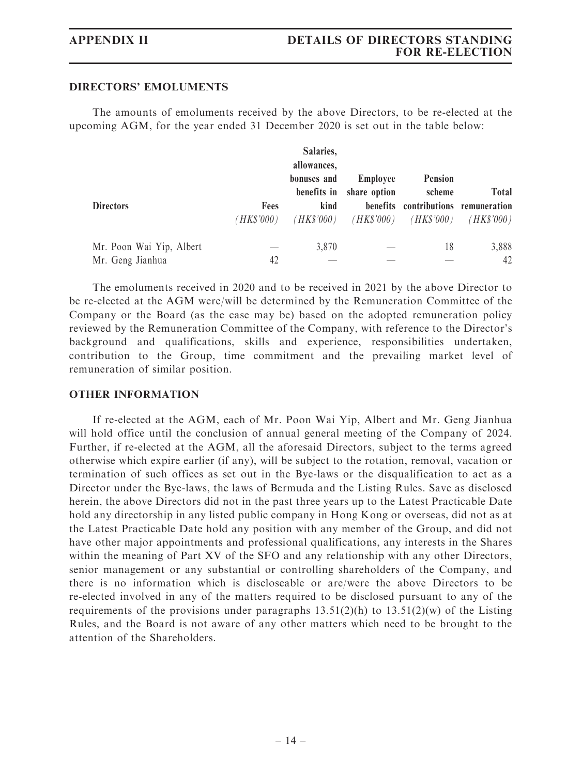#### DIRECTORS' EMOLUMENTS

The amounts of emoluments received by the above Directors, to be re-elected at the upcoming AGM, for the year ended 31 December 2020 is set out in the table below:

|                          |            | Salaries,   |              |                                     |              |
|--------------------------|------------|-------------|--------------|-------------------------------------|--------------|
|                          |            | allowances, |              |                                     |              |
|                          |            | bonuses and | Employee     | <b>Pension</b>                      |              |
|                          |            | benefits in | share option | scheme                              | <b>Total</b> |
| <b>Directors</b>         | Fees       | kind        |              | benefits contributions remuneration |              |
|                          | (HK\$'000) | (HK\$'000)  | (HK\$'000)   | (HK\$'000)                          | (HK\$'000)   |
| Mr. Poon Wai Yip, Albert |            | 3,870       |              | 18                                  | 3,888        |
| Mr. Geng Jianhua         | 42         |             |              |                                     | 42           |

The emoluments received in 2020 and to be received in 2021 by the above Director to be re-elected at the AGM were/will be determined by the Remuneration Committee of the Company or the Board (as the case may be) based on the adopted remuneration policy reviewed by the Remuneration Committee of the Company, with reference to the Director's background and qualifications, skills and experience, responsibilities undertaken, contribution to the Group, time commitment and the prevailing market level of remuneration of similar position.

#### OTHER INFORMATION

If re-elected at the AGM, each of Mr. Poon Wai Yip, Albert and Mr. Geng Jianhua will hold office until the conclusion of annual general meeting of the Company of 2024. Further, if re-elected at the AGM, all the aforesaid Directors, subject to the terms agreed otherwise which expire earlier (if any), will be subject to the rotation, removal, vacation or termination of such offices as set out in the Bye-laws or the disqualification to act as a Director under the Bye-laws, the laws of Bermuda and the Listing Rules. Save as disclosed herein, the above Directors did not in the past three years up to the Latest Practicable Date hold any directorship in any listed public company in Hong Kong or overseas, did not as at the Latest Practicable Date hold any position with any member of the Group, and did not have other major appointments and professional qualifications, any interests in the Shares within the meaning of Part XV of the SFO and any relationship with any other Directors, senior management or any substantial or controlling shareholders of the Company, and there is no information which is discloseable or are/were the above Directors to be re-elected involved in any of the matters required to be disclosed pursuant to any of the requirements of the provisions under paragraphs  $13.51(2)(h)$  to  $13.51(2)(w)$  of the Listing Rules, and the Board is not aware of any other matters which need to be brought to the attention of the Shareholders.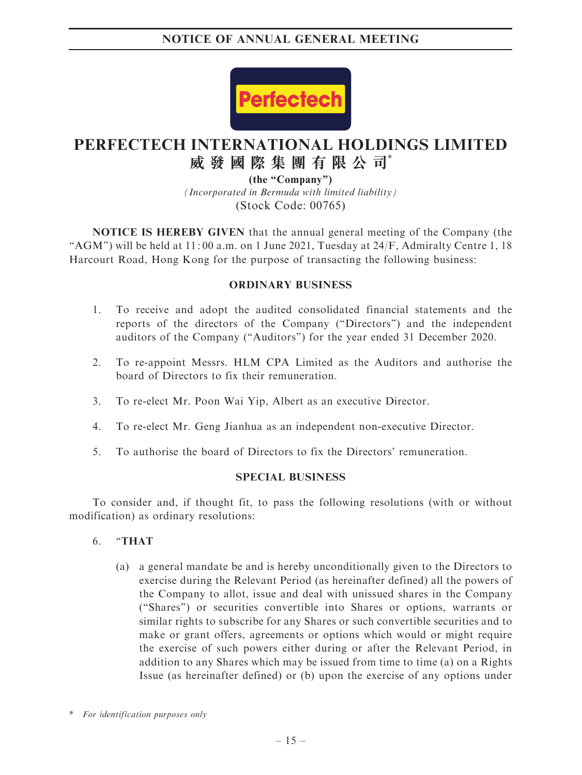

# **PERFECTECH INTERNATIONAL HOLDINGS LIMITED 威發國際集團有限公司**\*

*(Incorporated in Bermuda with limited liability)* (Stock Code: 00765) **(the "Company")**

NOTICE IS HEREBY GIVEN that the annual general meeting of the Company (the "AGM") will be held at  $11:00$  a.m. on 1 June 2021, Tuesday at  $24/F$ , Admiralty Centre 1, 18 Harcourt Road, Hong Kong for the purpose of transacting the following business:

#### ORDINARY BUSINESS

- 1. To receive and adopt the audited consolidated financial statements and the reports of the directors of the Company (''Directors'') and the independent auditors of the Company (''Auditors'') for the year ended 31 December 2020.
- 2. To re-appoint Messrs. HLM CPA Limited as the Auditors and authorise the board of Directors to fix their remuneration.
- 3. To re-elect Mr. Poon Wai Yip, Albert as an executive Director.
- 4. To re-elect Mr. Geng Jianhua as an independent non-executive Director.
- 5. To authorise the board of Directors to fix the Directors' remuneration.

#### SPECIAL BUSINESS

To consider and, if thought fit, to pass the following resolutions (with or without modification) as ordinary resolutions:

- 6. ''THAT
	- (a) a general mandate be and is hereby unconditionally given to the Directors to exercise during the Relevant Period (as hereinafter defined) all the powers of the Company to allot, issue and deal with unissued shares in the Company (''Shares'') or securities convertible into Shares or options, warrants or similar rights to subscribe for any Shares or such convertible securities and to make or grant offers, agreements or options which would or might require the exercise of such powers either during or after the Relevant Period, in addition to any Shares which may be issued from time to time (a) on a Rights Issue (as hereinafter defined) or (b) upon the exercise of any options under

<sup>\*</sup> For identification purposes only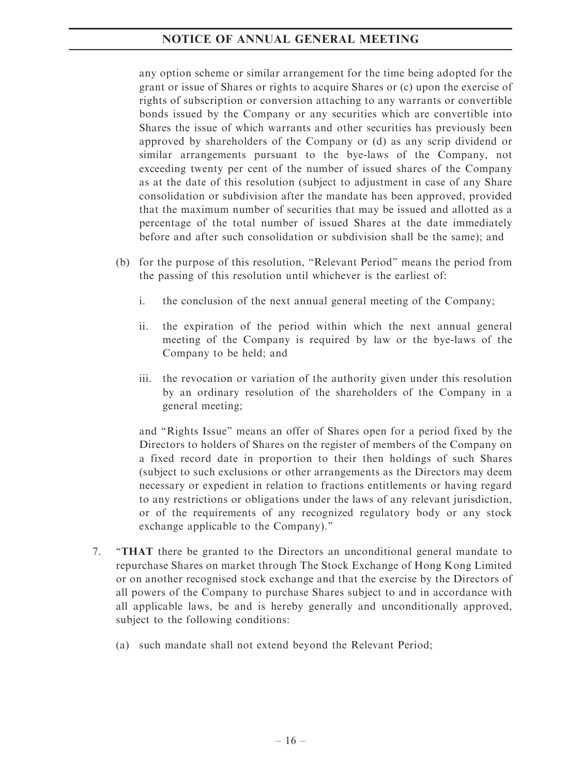any option scheme or similar arrangement for the time being adopted for the grant or issue of Shares or rights to acquire Shares or (c) upon the exercise of rights of subscription or conversion attaching to any warrants or convertible bonds issued by the Company or any securities which are convertible into Shares the issue of which warrants and other securities has previously been approved by shareholders of the Company or (d) as any scrip dividend or similar arrangements pursuant to the bye-laws of the Company, not exceeding twenty per cent of the number of issued shares of the Company as at the date of this resolution (subject to adjustment in case of any Share consolidation or subdivision after the mandate has been approved, provided that the maximum number of securities that may be issued and allotted as a percentage of the total number of issued Shares at the date immediately before and after such consolidation or subdivision shall be the same); and

- (b) for the purpose of this resolution, ''Relevant Period'' means the period from the passing of this resolution until whichever is the earliest of:
	- i. the conclusion of the next annual general meeting of the Company;
	- ii. the expiration of the period within which the next annual general meeting of the Company is required by law or the bye-laws of the Company to be held; and
	- iii. the revocation or variation of the authority given under this resolution by an ordinary resolution of the shareholders of the Company in a general meeting;

and ''Rights Issue'' means an offer of Shares open for a period fixed by the Directors to holders of Shares on the register of members of the Company on a fixed record date in proportion to their then holdings of such Shares (subject to such exclusions or other arrangements as the Directors may deem necessary or expedient in relation to fractions entitlements or having regard to any restrictions or obligations under the laws of any relevant jurisdiction, or of the requirements of any recognized regulatory body or any stock exchange applicable to the Company).''

- 7. ''THAT there be granted to the Directors an unconditional general mandate to repurchase Shares on market through The Stock Exchange of Hong Kong Limited or on another recognised stock exchange and that the exercise by the Directors of all powers of the Company to purchase Shares subject to and in accordance with all applicable laws, be and is hereby generally and unconditionally approved, subject to the following conditions:
	- (a) such mandate shall not extend beyond the Relevant Period;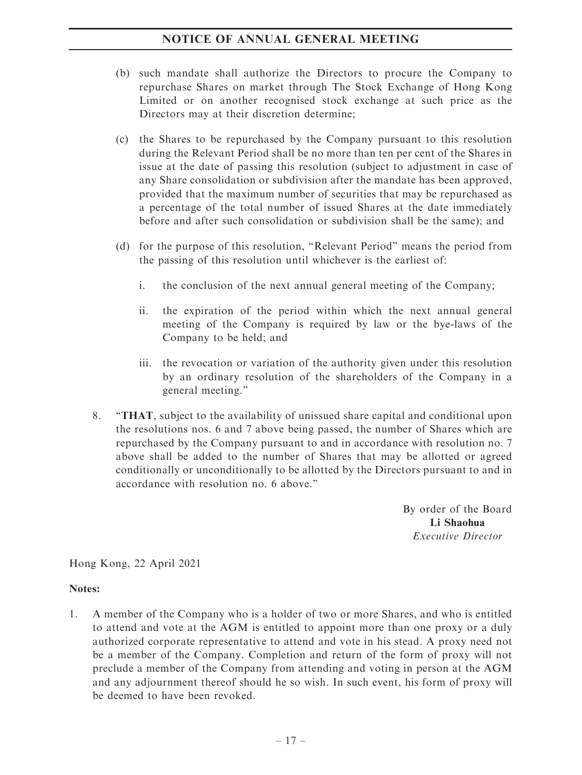- (b) such mandate shall authorize the Directors to procure the Company to repurchase Shares on market through The Stock Exchange of Hong Kong Limited or on another recognised stock exchange at such price as the Directors may at their discretion determine;
- (c) the Shares to be repurchased by the Company pursuant to this resolution during the Relevant Period shall be no more than ten per cent of the Shares in issue at the date of passing this resolution (subject to adjustment in case of any Share consolidation or subdivision after the mandate has been approved, provided that the maximum number of securities that may be repurchased as a percentage of the total number of issued Shares at the date immediately before and after such consolidation or subdivision shall be the same); and
- (d) for the purpose of this resolution, ''Relevant Period'' means the period from the passing of this resolution until whichever is the earliest of:
	- i. the conclusion of the next annual general meeting of the Company;
	- ii. the expiration of the period within which the next annual general meeting of the Company is required by law or the bye-laws of the Company to be held; and
	- iii. the revocation or variation of the authority given under this resolution by an ordinary resolution of the shareholders of the Company in a general meeting.''
- 8. ''THAT, subject to the availability of unissued share capital and conditional upon the resolutions nos. 6 and 7 above being passed, the number of Shares which are repurchased by the Company pursuant to and in accordance with resolution no. 7 above shall be added to the number of Shares that may be allotted or agreed conditionally or unconditionally to be allotted by the Directors pursuant to and in accordance with resolution no. 6 above.''

By order of the Board Li Shaohua Executive Director

Hong Kong, 22 April 2021

#### Notes:

1. A member of the Company who is a holder of two or more Shares, and who is entitled to attend and vote at the AGM is entitled to appoint more than one proxy or a duly authorized corporate representative to attend and vote in his stead. A proxy need not be a member of the Company. Completion and return of the form of proxy will not preclude a member of the Company from attending and voting in person at the AGM and any adjournment thereof should he so wish. In such event, his form of proxy will be deemed to have been revoked.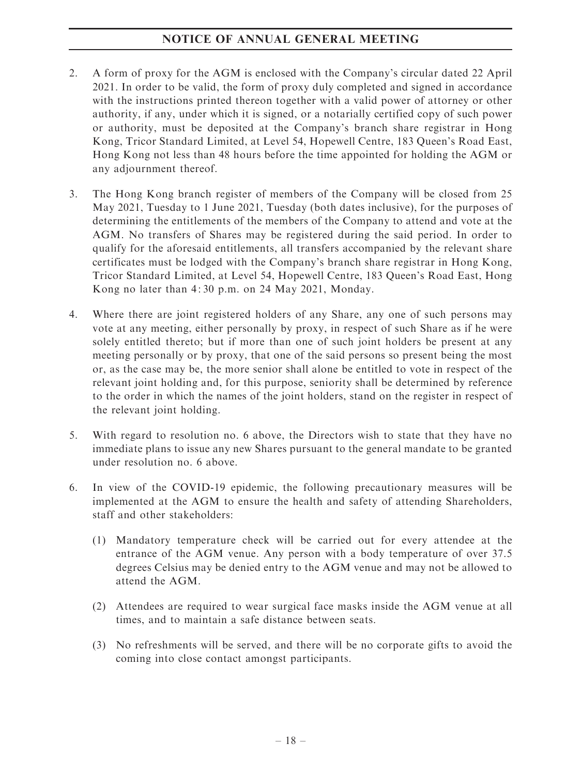- 2. A form of proxy for the AGM is enclosed with the Company's circular dated 22 April 2021. In order to be valid, the form of proxy duly completed and signed in accordance with the instructions printed thereon together with a valid power of attorney or other authority, if any, under which it is signed, or a notarially certified copy of such power or authority, must be deposited at the Company's branch share registrar in Hong Kong, Tricor Standard Limited, at Level 54, Hopewell Centre, 183 Queen's Road East, Hong Kong not less than 48 hours before the time appointed for holding the AGM or any adjournment thereof.
- 3. The Hong Kong branch register of members of the Company will be closed from 25 May 2021, Tuesday to 1 June 2021, Tuesday (both dates inclusive), for the purposes of determining the entitlements of the members of the Company to attend and vote at the AGM. No transfers of Shares may be registered during the said period. In order to qualify for the aforesaid entitlements, all transfers accompanied by the relevant share certificates must be lodged with the Company's branch share registrar in Hong Kong, Tricor Standard Limited, at Level 54, Hopewell Centre, 183 Queen's Road East, Hong Kong no later than 4: 30 p.m. on 24 May 2021, Monday.
- 4. Where there are joint registered holders of any Share, any one of such persons may vote at any meeting, either personally by proxy, in respect of such Share as if he were solely entitled thereto; but if more than one of such joint holders be present at any meeting personally or by proxy, that one of the said persons so present being the most or, as the case may be, the more senior shall alone be entitled to vote in respect of the relevant joint holding and, for this purpose, seniority shall be determined by reference to the order in which the names of the joint holders, stand on the register in respect of the relevant joint holding.
- 5. With regard to resolution no. 6 above, the Directors wish to state that they have no immediate plans to issue any new Shares pursuant to the general mandate to be granted under resolution no. 6 above.
- 6. In view of the COVID-19 epidemic, the following precautionary measures will be implemented at the AGM to ensure the health and safety of attending Shareholders, staff and other stakeholders:
	- (1) Mandatory temperature check will be carried out for every attendee at the entrance of the AGM venue. Any person with a body temperature of over 37.5 degrees Celsius may be denied entry to the AGM venue and may not be allowed to attend the AGM.
	- (2) Attendees are required to wear surgical face masks inside the AGM venue at all times, and to maintain a safe distance between seats.
	- (3) No refreshments will be served, and there will be no corporate gifts to avoid the coming into close contact amongst participants.